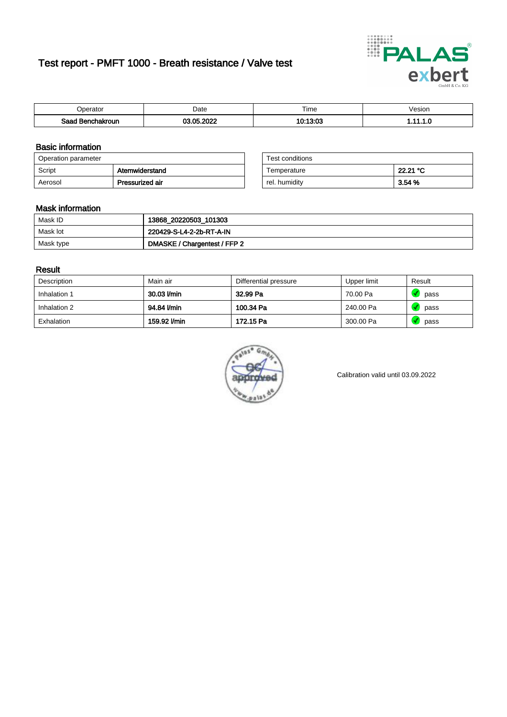# Test report - PMFT 1000 - Breath resistance / Valve test



| <b>Poerator</b>  | Date                  | $- \cdot$<br>Time | √esion |
|------------------|-----------------------|-------------------|--------|
| Saad Benchakroun | <b>OF OOOS</b><br>no. | 10.19.00          | .      |

### Basic information

| Operation parameter |                 | Test conditions |          |
|---------------------|-----------------|-----------------|----------|
| Script              | Atemwiderstand  | Temperature     | 22.21 °C |
| Aerosol             | Pressurized air | rel. humidity   | 3.54 %   |

| Test conditions |          |
|-----------------|----------|
| Temperature     | 22.21 °C |
| rel. humidity   | 3.54%    |

### Mask information

| Mask ID   | 13868_20220503_101303        |
|-----------|------------------------------|
| Mask lot  | 220429-S-L4-2-2b-RT-A-IN     |
| Mask type | DMASKE / Chargentest / FFP 2 |

### Result

| Description  | Main air     | Differential pressure | Upper limit | Result |
|--------------|--------------|-----------------------|-------------|--------|
| Inhalation 1 | 30.03 l/min  | 32.99 Pa              | 70.00 Pa    | pass   |
| Inhalation 2 | 94.84 l/min  | 100.34 Pa             | 240.00 Pa   | pass   |
| Exhalation   | 159.92 l/min | 172.15 Pa             | 300.00 Pa   | pass   |



Calibration valid until 03.09.2022